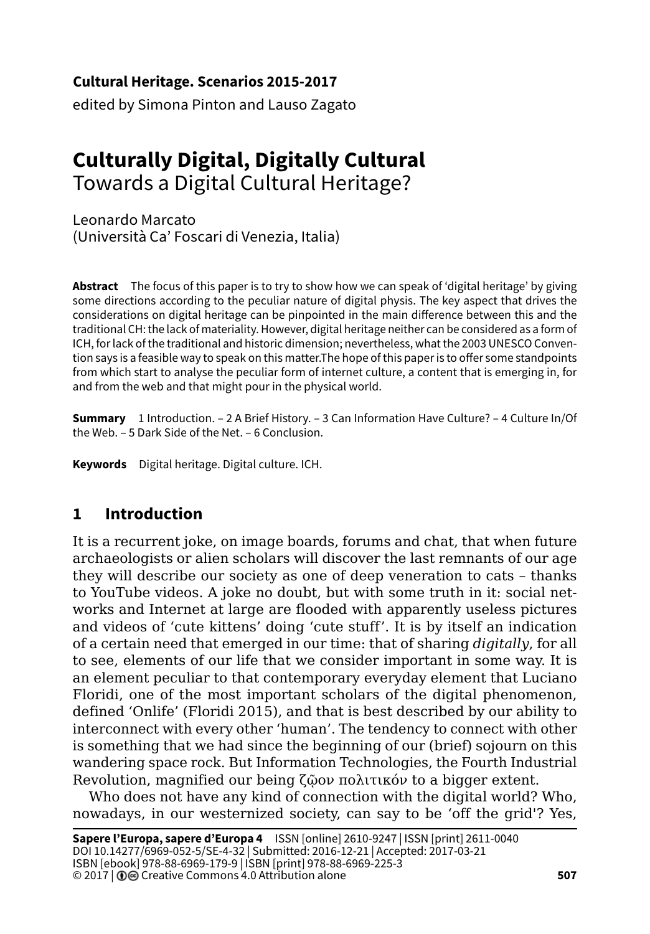**Cultural Heritage. Scenarios 2015-2017**

edited by Simona Pinton and Lauso Zagato

# **Culturally Digital, Digitally Cultural** Towards a Digital Cultural Heritage?

Leonardo Marcato (Università Ca' Foscari di Venezia, Italia)

**Abstract** The focus of this paper is to try to show how we can speak of 'digital heritage' by giving some directions according to the peculiar nature of digital physis. The key aspect that drives the considerations on digital heritage can be pinpointed in the main difference between this and the traditional CH: the lack of materiality. However, digital heritage neither can be considered as a form of ICH, for lack of the traditional and historic dimension; nevertheless, what the 2003 UNESCO Convention says is a feasible way to speak on this matter.The hope of this paper is to offer some standpoints from which start to analyse the peculiar form of internet culture, a content that is emerging in, for and from the web and that might pour in the physical world.

**Summary** 1 Introduction. – 2 A Brief History. – 3 Can Information Have Culture? – 4 Culture In/Of the Web. – 5 Dark Side of the Net. – 6 Conclusion.

**Keywords** Digital heritage. Digital culture. ICH.

## **1 Introduction**

It is a recurrent joke, on image boards, forums and chat, that when future archaeologists or alien scholars will discover the last remnants of our age they will describe our society as one of deep veneration to cats – thanks to YouTube videos. A joke no doubt, but with some truth in it: social networks and Internet at large are flooded with apparently useless pictures and videos of 'cute kittens' doing 'cute stuff'. It is by itself an indication of a certain need that emerged in our time: that of sharing *digitally*, for all to see, elements of our life that we consider important in some way. It is an element peculiar to that contemporary everyday element that Luciano Floridi, one of the most important scholars of the digital phenomenon, defined 'Onlife' (Floridi 2015), and that is best described by our ability to interconnect with every other 'human'. The tendency to connect with other is something that we had since the beginning of our (brief) sojourn on this wandering space rock. But Information Technologies, the Fourth Industrial Revolution, magnified our being ζῷον πολιτικόν to a bigger extent.

Who does not have any kind of connection with the digital world? Who, nowadays, in our westernized society, can say to be 'off the grid'? Yes,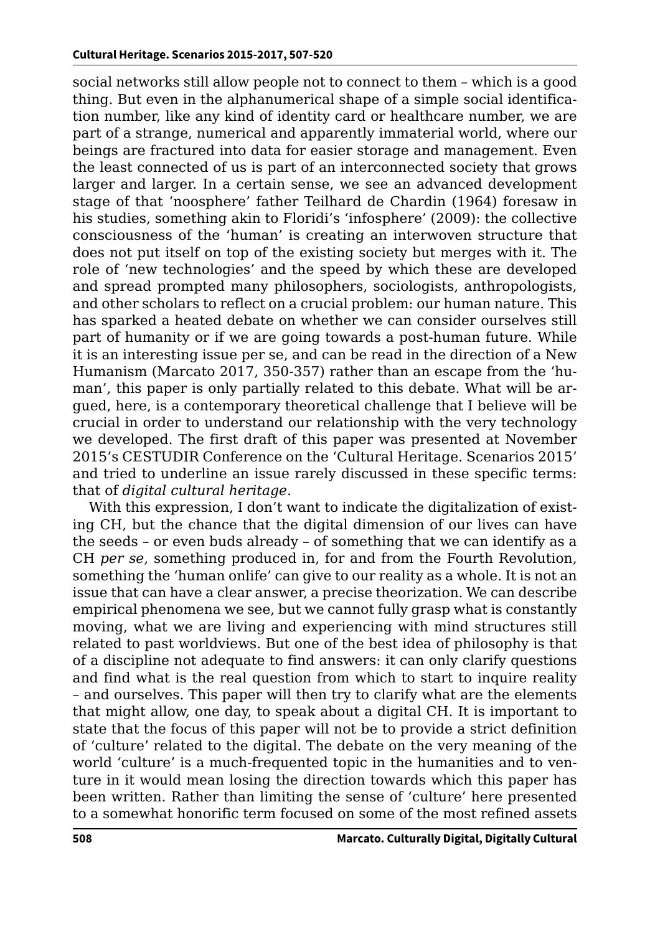social networks still allow people not to connect to them – which is a good thing. But even in the alphanumerical shape of a simple social identification number, like any kind of identity card or healthcare number, we are part of a strange, numerical and apparently immaterial world, where our beings are fractured into data for easier storage and management. Even the least connected of us is part of an interconnected society that grows larger and larger. In a certain sense, we see an advanced development stage of that 'noosphere' father Teilhard de Chardin (1964) foresaw in his studies, something akin to Floridi's 'infosphere' (2009): the collective consciousness of the 'human' is creating an interwoven structure that does not put itself on top of the existing society but merges with it. The role of 'new technologies' and the speed by which these are developed and spread prompted many philosophers, sociologists, anthropologists, and other scholars to reflect on a crucial problem: our human nature. This has sparked a heated debate on whether we can consider ourselves still part of humanity or if we are going towards a post-human future. While it is an interesting issue per se, and can be read in the direction of a New Humanism (Marcato 2017, 350-357) rather than an escape from the 'human', this paper is only partially related to this debate. What will be argued, here, is a contemporary theoretical challenge that I believe will be crucial in order to understand our relationship with the very technology we developed. The first draft of this paper was presented at November 2015's CESTUDIR Conference on the 'Cultural Heritage. Scenarios 2015' and tried to underline an issue rarely discussed in these specific terms: that of *digital cultural heritage*.

With this expression, I don't want to indicate the digitalization of existing CH, but the chance that the digital dimension of our lives can have the seeds – or even buds already – of something that we can identify as a CH *per se*, something produced in, for and from the Fourth Revolution, something the 'human onlife' can give to our reality as a whole. It is not an issue that can have a clear answer, a precise theorization. We can describe empirical phenomena we see, but we cannot fully grasp what is constantly moving, what we are living and experiencing with mind structures still related to past worldviews. But one of the best idea of philosophy is that of a discipline not adequate to find answers: it can only clarify questions and find what is the real question from which to start to inquire reality – and ourselves. This paper will then try to clarify what are the elements that might allow, one day, to speak about a digital CH. It is important to state that the focus of this paper will not be to provide a strict definition of 'culture' related to the digital. The debate on the very meaning of the world 'culture' is a much-frequented topic in the humanities and to venture in it would mean losing the direction towards which this paper has been written. Rather than limiting the sense of 'culture' here presented to a somewhat honorific term focused on some of the most refined assets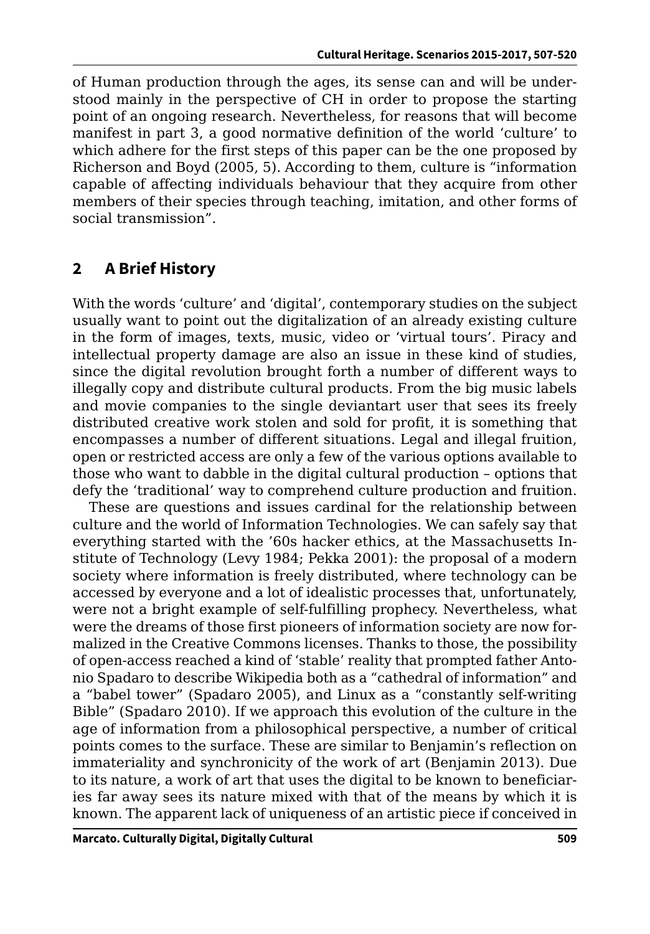of Human production through the ages, its sense can and will be understood mainly in the perspective of CH in order to propose the starting point of an ongoing research. Nevertheless, for reasons that will become manifest in part 3, a good normative definition of the world 'culture' to which adhere for the first steps of this paper can be the one proposed by Richerson and Boyd (2005, 5). According to them, culture is "information capable of affecting individuals behaviour that they acquire from other members of their species through teaching, imitation, and other forms of social transmission".

# **2 A Brief History**

With the words 'culture' and 'digital', contemporary studies on the subject usually want to point out the digitalization of an already existing culture in the form of images, texts, music, video or 'virtual tours'. Piracy and intellectual property damage are also an issue in these kind of studies, since the digital revolution brought forth a number of different ways to illegally copy and distribute cultural products. From the big music labels and movie companies to the single deviantart user that sees its freely distributed creative work stolen and sold for profit, it is something that encompasses a number of different situations. Legal and illegal fruition, open or restricted access are only a few of the various options available to those who want to dabble in the digital cultural production – options that defy the 'traditional' way to comprehend culture production and fruition.

These are questions and issues cardinal for the relationship between culture and the world of Information Technologies. We can safely say that everything started with the '60s hacker ethics, at the Massachusetts Institute of Technology (Levy 1984; Pekka 2001): the proposal of a modern society where information is freely distributed, where technology can be accessed by everyone and a lot of idealistic processes that, unfortunately, were not a bright example of self-fulfilling prophecy. Nevertheless, what were the dreams of those first pioneers of information society are now formalized in the Creative Commons licenses. Thanks to those, the possibility of open-access reached a kind of 'stable' reality that prompted father Antonio Spadaro to describe Wikipedia both as a "cathedral of information" and a "babel tower" (Spadaro 2005), and Linux as a "constantly self-writing Bible" (Spadaro 2010). If we approach this evolution of the culture in the age of information from a philosophical perspective, a number of critical points comes to the surface. These are similar to Benjamin's reflection on immateriality and synchronicity of the work of art (Benjamin 2013). Due to its nature, a work of art that uses the digital to be known to beneficiaries far away sees its nature mixed with that of the means by which it is known. The apparent lack of uniqueness of an artistic piece if conceived in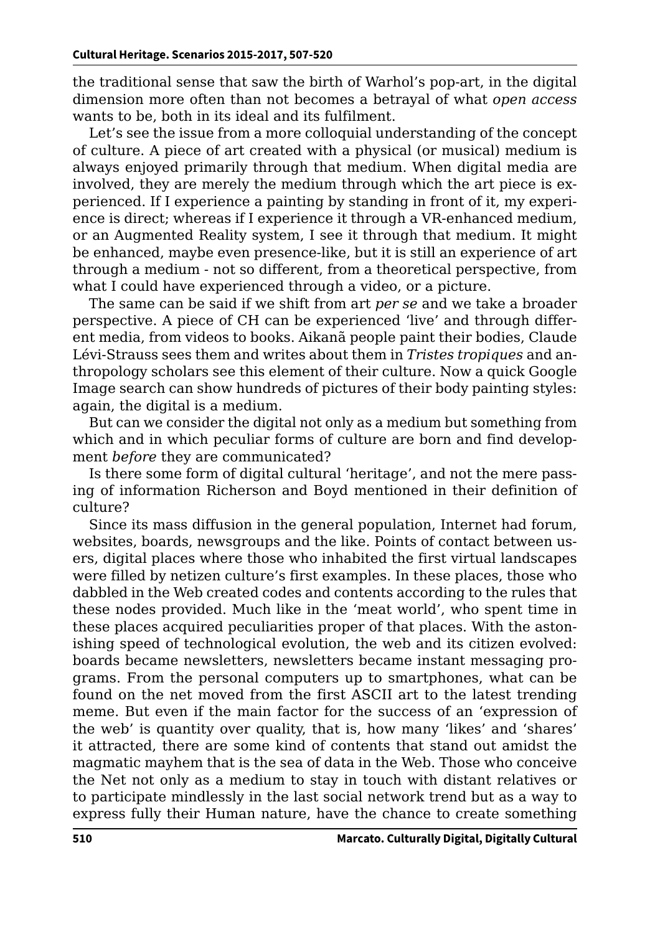the traditional sense that saw the birth of Warhol's pop-art, in the digital dimension more often than not becomes a betrayal of what *open access* wants to be, both in its ideal and its fulfilment.

Let's see the issue from a more colloquial understanding of the concept of culture. A piece of art created with a physical (or musical) medium is always enjoyed primarily through that medium. When digital media are involved, they are merely the medium through which the art piece is experienced. If I experience a painting by standing in front of it, my experience is direct; whereas if I experience it through a VR-enhanced medium, or an Augmented Reality system, I see it through that medium. It might be enhanced, maybe even presence-like, but it is still an experience of art through a medium - not so different, from a theoretical perspective, from what I could have experienced through a video, or a picture.

The same can be said if we shift from art *per se* and we take a broader perspective. A piece of CH can be experienced 'live' and through different media, from videos to books. Aikanã people paint their bodies, Claude Lévi-Strauss sees them and writes about them in *Tristes tropiques* and anthropology scholars see this element of their culture. Now a quick Google Image search can show hundreds of pictures of their body painting styles: again, the digital is a medium.

But can we consider the digital not only as a medium but something from which and in which peculiar forms of culture are born and find development *before* they are communicated?

Is there some form of digital cultural 'heritage', and not the mere passing of information Richerson and Boyd mentioned in their definition of culture?

Since its mass diffusion in the general population, Internet had forum, websites, boards, newsgroups and the like. Points of contact between users, digital places where those who inhabited the first virtual landscapes were filled by netizen culture's first examples. In these places, those who dabbled in the Web created codes and contents according to the rules that these nodes provided. Much like in the 'meat world', who spent time in these places acquired peculiarities proper of that places. With the astonishing speed of technological evolution, the web and its citizen evolved: boards became newsletters, newsletters became instant messaging programs. From the personal computers up to smartphones, what can be found on the net moved from the first ASCII art to the latest trending meme. But even if the main factor for the success of an 'expression of the web' is quantity over quality, that is, how many 'likes' and 'shares' it attracted, there are some kind of contents that stand out amidst the magmatic mayhem that is the sea of data in the Web. Those who conceive the Net not only as a medium to stay in touch with distant relatives or to participate mindlessly in the last social network trend but as a way to express fully their Human nature, have the chance to create something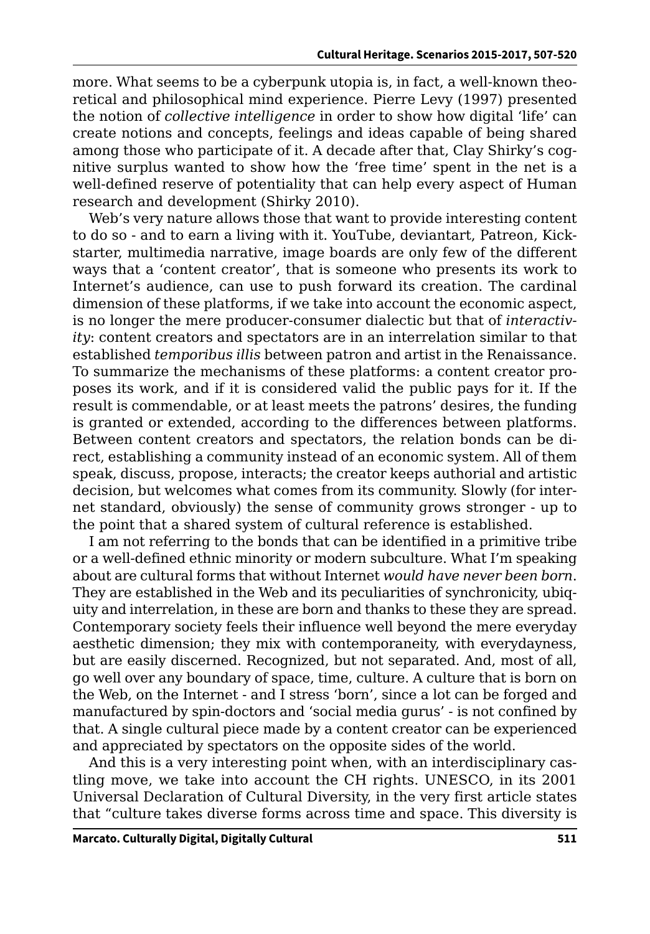more. What seems to be a cyberpunk utopia is, in fact, a well-known theoretical and philosophical mind experience. Pierre Levy (1997) presented the notion of *collective intelligence* in order to show how digital 'life' can create notions and concepts, feelings and ideas capable of being shared among those who participate of it. A decade after that, Clay Shirky's cognitive surplus wanted to show how the 'free time' spent in the net is a well-defined reserve of potentiality that can help every aspect of Human research and development (Shirky 2010).

Web's very nature allows those that want to provide interesting content to do so - and to earn a living with it. YouTube, deviantart, Patreon, Kickstarter, multimedia narrative, image boards are only few of the different ways that a 'content creator', that is someone who presents its work to Internet's audience, can use to push forward its creation. The cardinal dimension of these platforms, if we take into account the economic aspect, is no longer the mere producer-consumer dialectic but that of *interactivity*: content creators and spectators are in an interrelation similar to that established *temporibus illis* between patron and artist in the Renaissance. To summarize the mechanisms of these platforms: a content creator proposes its work, and if it is considered valid the public pays for it. If the result is commendable, or at least meets the patrons' desires, the funding is granted or extended, according to the differences between platforms. Between content creators and spectators, the relation bonds can be direct, establishing a community instead of an economic system. All of them speak, discuss, propose, interacts; the creator keeps authorial and artistic decision, but welcomes what comes from its community. Slowly (for internet standard, obviously) the sense of community grows stronger - up to the point that a shared system of cultural reference is established.

I am not referring to the bonds that can be identified in a primitive tribe or a well-defined ethnic minority or modern subculture. What I'm speaking about are cultural forms that without Internet *would have never been born*. They are established in the Web and its peculiarities of synchronicity, ubiquity and interrelation, in these are born and thanks to these they are spread. Contemporary society feels their influence well beyond the mere everyday aesthetic dimension; they mix with contemporaneity, with everydayness, but are easily discerned. Recognized, but not separated. And, most of all, go well over any boundary of space, time, culture. A culture that is born on the Web, on the Internet - and I stress 'born', since a lot can be forged and manufactured by spin-doctors and 'social media gurus' - is not confined by that. A single cultural piece made by a content creator can be experienced and appreciated by spectators on the opposite sides of the world.

And this is a very interesting point when, with an interdisciplinary castling move, we take into account the CH rights. UNESCO, in its 2001 Universal Declaration of Cultural Diversity, in the very first article states that "culture takes diverse forms across time and space. This diversity is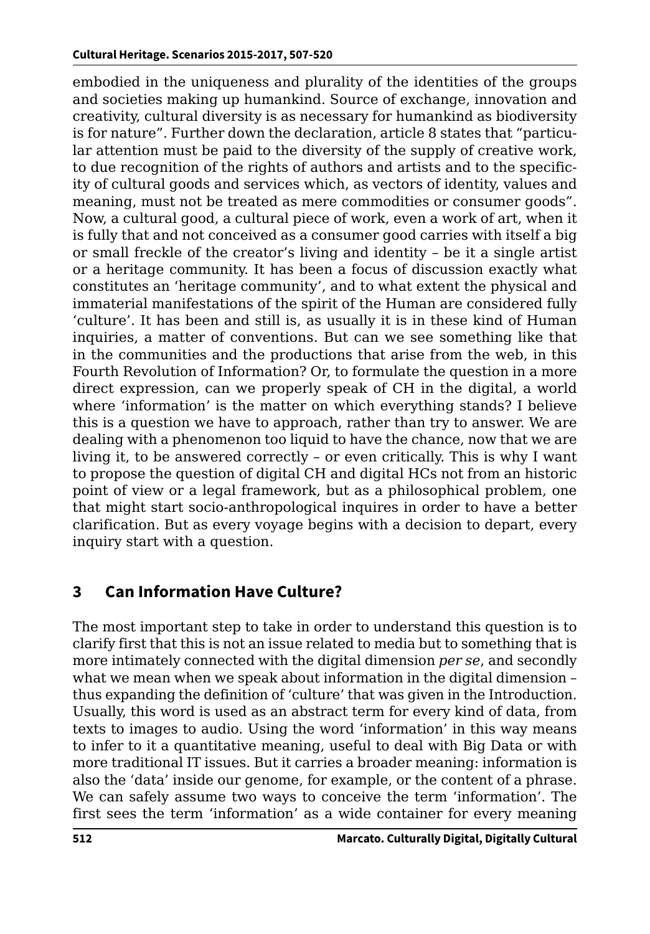embodied in the uniqueness and plurality of the identities of the groups and societies making up humankind. Source of exchange, innovation and creativity, cultural diversity is as necessary for humankind as biodiversity is for nature". Further down the declaration, article 8 states that "particular attention must be paid to the diversity of the supply of creative work, to due recognition of the rights of authors and artists and to the specificity of cultural goods and services which, as vectors of identity, values and meaning, must not be treated as mere commodities or consumer goods". Now, a cultural good, a cultural piece of work, even a work of art, when it is fully that and not conceived as a consumer good carries with itself a big or small freckle of the creator's living and identity – be it a single artist or a heritage community. It has been a focus of discussion exactly what constitutes an 'heritage community', and to what extent the physical and immaterial manifestations of the spirit of the Human are considered fully 'culture'. It has been and still is, as usually it is in these kind of Human inquiries, a matter of conventions. But can we see something like that in the communities and the productions that arise from the web, in this Fourth Revolution of Information? Or, to formulate the question in a more direct expression, can we properly speak of CH in the digital, a world where 'information' is the matter on which everything stands? I believe this is a question we have to approach, rather than try to answer. We are dealing with a phenomenon too liquid to have the chance, now that we are living it, to be answered correctly – or even critically. This is why I want to propose the question of digital CH and digital HCs not from an historic point of view or a legal framework, but as a philosophical problem, one that might start socio-anthropological inquires in order to have a better clarification. But as every voyage begins with a decision to depart, every inquiry start with a question.

## **3 Can Information Have Culture?**

The most important step to take in order to understand this question is to clarify first that this is not an issue related to media but to something that is more intimately connected with the digital dimension *per se*, and secondly what we mean when we speak about information in the digital dimension – thus expanding the definition of 'culture' that was given in the Introduction. Usually, this word is used as an abstract term for every kind of data, from texts to images to audio. Using the word 'information' in this way means to infer to it a quantitative meaning, useful to deal with Big Data or with more traditional IT issues. But it carries a broader meaning: information is also the 'data' inside our genome, for example, or the content of a phrase. We can safely assume two ways to conceive the term 'information'. The first sees the term 'information' as a wide container for every meaning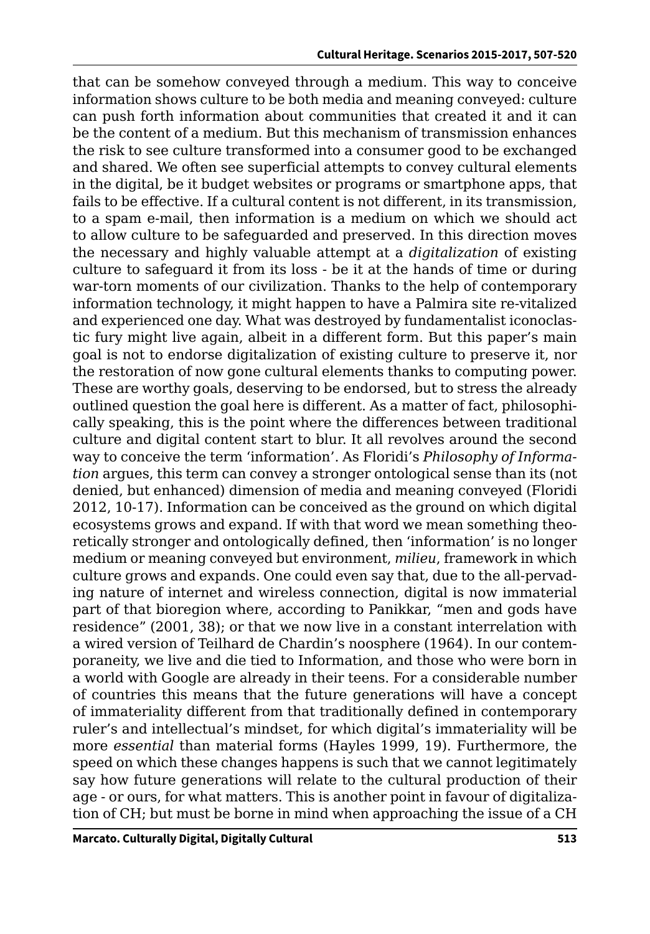that can be somehow conveyed through a medium. This way to conceive information shows culture to be both media and meaning conveyed: culture can push forth information about communities that created it and it can be the content of a medium. But this mechanism of transmission enhances the risk to see culture transformed into a consumer good to be exchanged and shared. We often see superficial attempts to convey cultural elements in the digital, be it budget websites or programs or smartphone apps, that fails to be effective. If a cultural content is not different, in its transmission, to a spam e-mail, then information is a medium on which we should act to allow culture to be safeguarded and preserved. In this direction moves the necessary and highly valuable attempt at a *digitalization* of existing culture to safeguard it from its loss - be it at the hands of time or during war-torn moments of our civilization. Thanks to the help of contemporary information technology, it might happen to have a Palmira site re-vitalized and experienced one day. What was destroyed by fundamentalist iconoclastic fury might live again, albeit in a different form. But this paper's main goal is not to endorse digitalization of existing culture to preserve it, nor the restoration of now gone cultural elements thanks to computing power. These are worthy goals, deserving to be endorsed, but to stress the already outlined question the goal here is different. As a matter of fact, philosophically speaking, this is the point where the differences between traditional culture and digital content start to blur. It all revolves around the second way to conceive the term 'information'. As Floridi's *Philosophy of Information* argues, this term can convey a stronger ontological sense than its (not denied, but enhanced) dimension of media and meaning conveyed (Floridi 2012, 10-17). Information can be conceived as the ground on which digital ecosystems grows and expand. If with that word we mean something theoretically stronger and ontologically defined, then 'information' is no longer medium or meaning conveyed but environment, *milieu*, framework in which culture grows and expands. One could even say that, due to the all-pervading nature of internet and wireless connection, digital is now immaterial part of that bioregion where, according to Panikkar, "men and gods have residence" (2001, 38); or that we now live in a constant interrelation with a wired version of Teilhard de Chardin's noosphere (1964). In our contemporaneity, we live and die tied to Information, and those who were born in a world with Google are already in their teens. For a considerable number of countries this means that the future generations will have a concept of immateriality different from that traditionally defined in contemporary ruler's and intellectual's mindset, for which digital's immateriality will be more *essential* than material forms (Hayles 1999, 19). Furthermore, the speed on which these changes happens is such that we cannot legitimately say how future generations will relate to the cultural production of their age - or ours, for what matters. This is another point in favour of digitalization of CH; but must be borne in mind when approaching the issue of a CH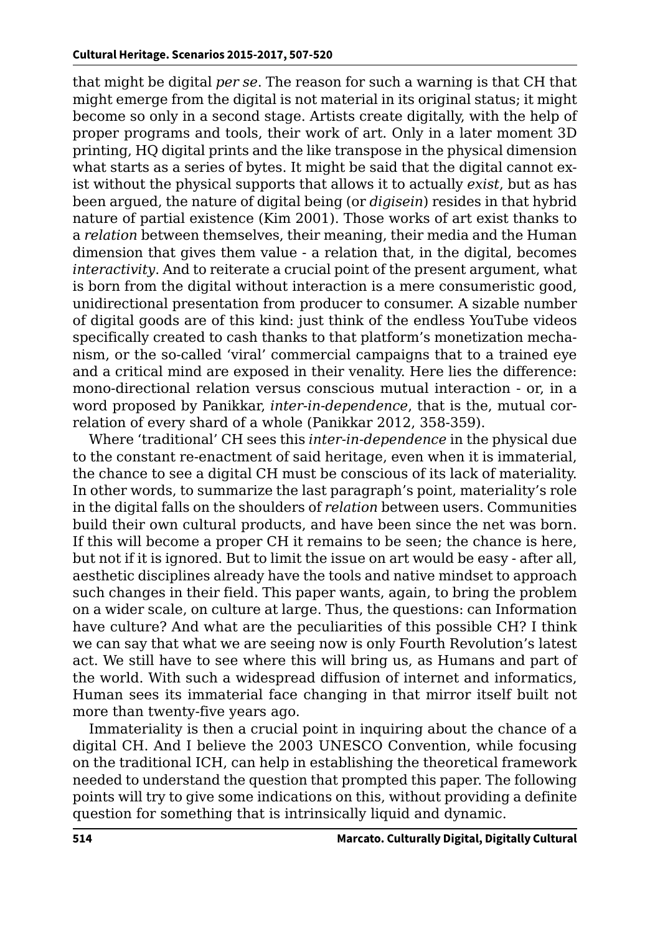that might be digital *per se*. The reason for such a warning is that CH that might emerge from the digital is not material in its original status; it might become so only in a second stage. Artists create digitally, with the help of proper programs and tools, their work of art. Only in a later moment 3D printing, HQ digital prints and the like transpose in the physical dimension what starts as a series of bytes. It might be said that the digital cannot exist without the physical supports that allows it to actually *exist*, but as has been argued, the nature of digital being (or *digisein*) resides in that hybrid nature of partial existence (Kim 2001). Those works of art exist thanks to a *relation* between themselves, their meaning, their media and the Human dimension that gives them value - a relation that, in the digital, becomes *interactivity*. And to reiterate a crucial point of the present argument, what is born from the digital without interaction is a mere consumeristic good, unidirectional presentation from producer to consumer. A sizable number of digital goods are of this kind: just think of the endless YouTube videos specifically created to cash thanks to that platform's monetization mechanism, or the so-called 'viral' commercial campaigns that to a trained eye and a critical mind are exposed in their venality. Here lies the difference: mono-directional relation versus conscious mutual interaction - or, in a word proposed by Panikkar, *inter-in-dependence*, that is the, mutual correlation of every shard of a whole (Panikkar 2012, 358-359).

Where 'traditional' CH sees this *inter-in-dependence* in the physical due to the constant re-enactment of said heritage, even when it is immaterial, the chance to see a digital CH must be conscious of its lack of materiality. In other words, to summarize the last paragraph's point, materiality's role in the digital falls on the shoulders of *relation* between users. Communities build their own cultural products, and have been since the net was born. If this will become a proper CH it remains to be seen; the chance is here, but not if it is ignored. But to limit the issue on art would be easy - after all, aesthetic disciplines already have the tools and native mindset to approach such changes in their field. This paper wants, again, to bring the problem on a wider scale, on culture at large. Thus, the questions: can Information have culture? And what are the peculiarities of this possible CH? I think we can say that what we are seeing now is only Fourth Revolution's latest act. We still have to see where this will bring us, as Humans and part of the world. With such a widespread diffusion of internet and informatics, Human sees its immaterial face changing in that mirror itself built not more than twenty-five years ago.

Immateriality is then a crucial point in inquiring about the chance of a digital CH. And I believe the 2003 UNESCO Convention, while focusing on the traditional ICH, can help in establishing the theoretical framework needed to understand the question that prompted this paper. The following points will try to give some indications on this, without providing a definite question for something that is intrinsically liquid and dynamic.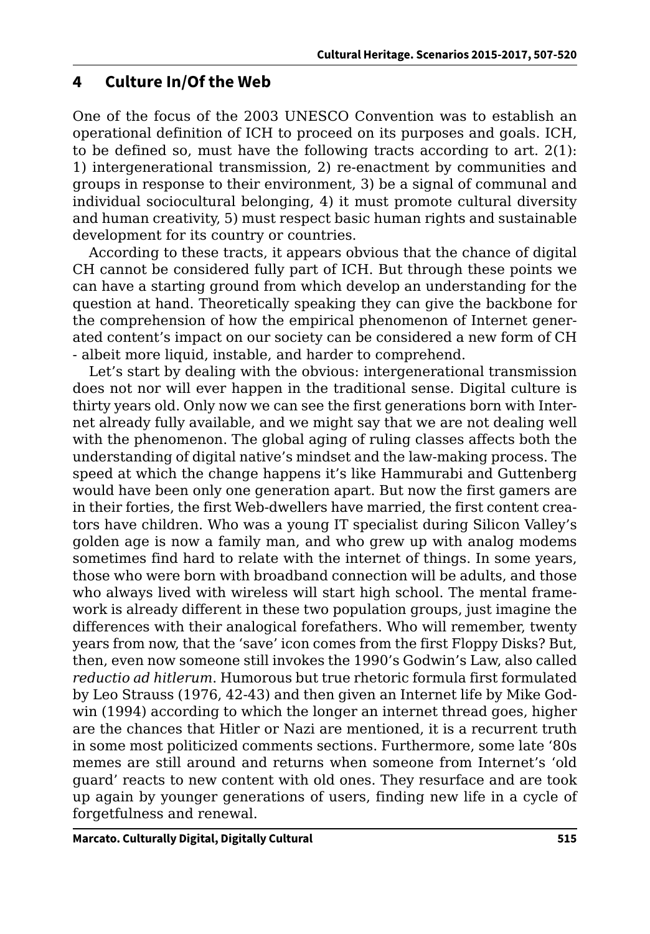#### **4 Culture In/Of the Web**

One of the focus of the 2003 UNESCO Convention was to establish an operational definition of ICH to proceed on its purposes and goals. ICH, to be defined so, must have the following tracts according to art.  $2(1)$ : 1) intergenerational transmission, 2) re-enactment by communities and groups in response to their environment, 3) be a signal of communal and individual sociocultural belonging, 4) it must promote cultural diversity and human creativity, 5) must respect basic human rights and sustainable development for its country or countries.

According to these tracts, it appears obvious that the chance of digital CH cannot be considered fully part of ICH. But through these points we can have a starting ground from which develop an understanding for the question at hand. Theoretically speaking they can give the backbone for the comprehension of how the empirical phenomenon of Internet generated content's impact on our society can be considered a new form of CH - albeit more liquid, instable, and harder to comprehend.

Let's start by dealing with the obvious: intergenerational transmission does not nor will ever happen in the traditional sense. Digital culture is thirty years old. Only now we can see the first generations born with Internet already fully available, and we might say that we are not dealing well with the phenomenon. The global aging of ruling classes affects both the understanding of digital native's mindset and the law-making process. The speed at which the change happens it's like Hammurabi and Guttenberg would have been only one generation apart. But now the first gamers are in their forties, the first Web-dwellers have married, the first content creators have children. Who was a young IT specialist during Silicon Valley's golden age is now a family man, and who grew up with analog modems sometimes find hard to relate with the internet of things. In some years, those who were born with broadband connection will be adults, and those who always lived with wireless will start high school. The mental framework is already different in these two population groups, just imagine the differences with their analogical forefathers. Who will remember, twenty years from now, that the 'save' icon comes from the first Floppy Disks? But, then, even now someone still invokes the 1990's Godwin's Law, also called *reductio ad hitlerum*. Humorous but true rhetoric formula first formulated by Leo Strauss (1976, 42-43) and then given an Internet life by Mike Godwin (1994) according to which the longer an internet thread goes, higher are the chances that Hitler or Nazi are mentioned, it is a recurrent truth in some most politicized comments sections. Furthermore, some late '80s memes are still around and returns when someone from Internet's 'old guard' reacts to new content with old ones. They resurface and are took up again by younger generations of users, finding new life in a cycle of forgetfulness and renewal.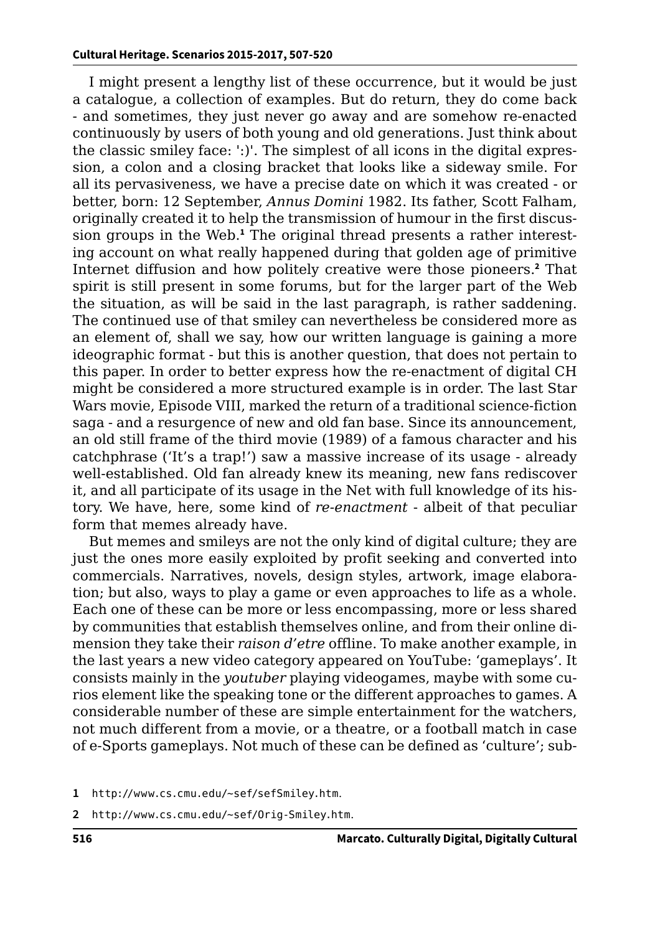I might present a lengthy list of these occurrence, but it would be just a catalogue, a collection of examples. But do return, they do come back - and sometimes, they just never go away and are somehow re-enacted continuously by users of both young and old generations. Just think about the classic smiley face: ':)'. The simplest of all icons in the digital expression, a colon and a closing bracket that looks like a sideway smile. For all its pervasiveness, we have a precise date on which it was created - or better, born: 12 September, *Annus Domini* 1982. Its father, Scott Falham, originally created it to help the transmission of humour in the first discussion groups in the Web.**<sup>1</sup>** The original thread presents a rather interesting account on what really happened during that golden age of primitive Internet diffusion and how politely creative were those pioneers.**<sup>2</sup>** That spirit is still present in some forums, but for the larger part of the Web the situation, as will be said in the last paragraph, is rather saddening. The continued use of that smiley can nevertheless be considered more as an element of, shall we say, how our written language is gaining a more ideographic format - but this is another question, that does not pertain to this paper. In order to better express how the re-enactment of digital CH might be considered a more structured example is in order. The last Star Wars movie, Episode VIII, marked the return of a traditional science-fiction saga - and a resurgence of new and old fan base. Since its announcement, an old still frame of the third movie (1989) of a famous character and his catchphrase ('It's a trap!') saw a massive increase of its usage - already well-established. Old fan already knew its meaning, new fans rediscover it, and all participate of its usage in the Net with full knowledge of its history. We have, here, some kind of *re-enactment* - albeit of that peculiar form that memes already have.

But memes and smileys are not the only kind of digital culture; they are just the ones more easily exploited by profit seeking and converted into commercials. Narratives, novels, design styles, artwork, image elaboration; but also, ways to play a game or even approaches to life as a whole. Each one of these can be more or less encompassing, more or less shared by communities that establish themselves online, and from their online dimension they take their *raison d'etre* offline. To make another example, in the last years a new video category appeared on YouTube: 'gameplays'. It consists mainly in the *youtuber* playing videogames, maybe with some curios element like the speaking tone or the different approaches to games. A considerable number of these are simple entertainment for the watchers, not much different from a movie, or a theatre, or a football match in case of e-Sports gameplays. Not much of these can be defined as 'culture'; sub-

**2** <http://www.cs.cmu.edu/~sef/Orig-Smiley.htm>.

**<sup>1</sup>** <http://www.cs.cmu.edu/~sef/sefSmiley.htm>.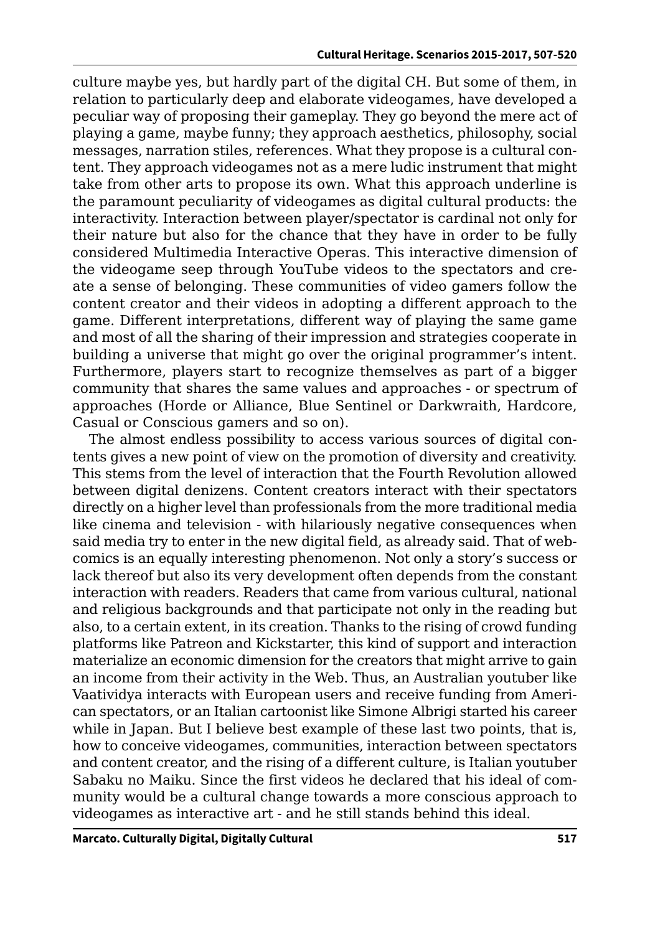culture maybe yes, but hardly part of the digital CH. But some of them, in relation to particularly deep and elaborate videogames, have developed a peculiar way of proposing their gameplay. They go beyond the mere act of playing a game, maybe funny; they approach aesthetics, philosophy, social messages, narration stiles, references. What they propose is a cultural content. They approach videogames not as a mere ludic instrument that might take from other arts to propose its own. What this approach underline is the paramount peculiarity of videogames as digital cultural products: the interactivity. Interaction between player/spectator is cardinal not only for their nature but also for the chance that they have in order to be fully considered Multimedia Interactive Operas. This interactive dimension of the videogame seep through YouTube videos to the spectators and create a sense of belonging. These communities of video gamers follow the content creator and their videos in adopting a different approach to the game. Different interpretations, different way of playing the same game and most of all the sharing of their impression and strategies cooperate in building a universe that might go over the original programmer's intent. Furthermore, players start to recognize themselves as part of a bigger community that shares the same values and approaches - or spectrum of approaches (Horde or Alliance, Blue Sentinel or Darkwraith, Hardcore, Casual or Conscious gamers and so on).

The almost endless possibility to access various sources of digital contents gives a new point of view on the promotion of diversity and creativity. This stems from the level of interaction that the Fourth Revolution allowed between digital denizens. Content creators interact with their spectators directly on a higher level than professionals from the more traditional media like cinema and television - with hilariously negative consequences when said media try to enter in the new digital field, as already said. That of webcomics is an equally interesting phenomenon. Not only a story's success or lack thereof but also its very development often depends from the constant interaction with readers. Readers that came from various cultural, national and religious backgrounds and that participate not only in the reading but also, to a certain extent, in its creation. Thanks to the rising of crowd funding platforms like Patreon and Kickstarter, this kind of support and interaction materialize an economic dimension for the creators that might arrive to gain an income from their activity in the Web. Thus, an Australian youtuber like Vaatividya interacts with European users and receive funding from American spectators, or an Italian cartoonist like Simone Albrigi started his career while in Japan. But I believe best example of these last two points, that is, how to conceive videogames, communities, interaction between spectators and content creator, and the rising of a different culture, is Italian youtuber Sabaku no Maiku. Since the first videos he declared that his ideal of community would be a cultural change towards a more conscious approach to videogames as interactive art - and he still stands behind this ideal.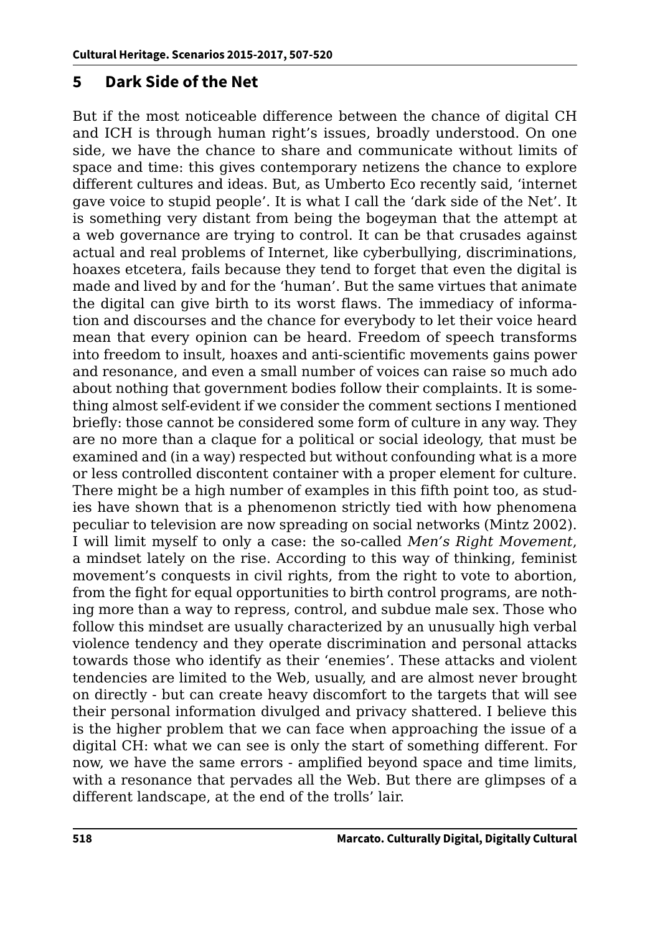#### **5 Dark Side of the Net**

But if the most noticeable difference between the chance of digital CH and ICH is through human right's issues, broadly understood. On one side, we have the chance to share and communicate without limits of space and time: this gives contemporary netizens the chance to explore different cultures and ideas. But, as Umberto Eco recently said, 'internet gave voice to stupid people'. It is what I call the 'dark side of the Net'. It is something very distant from being the bogeyman that the attempt at a web governance are trying to control. It can be that crusades against actual and real problems of Internet, like cyberbullying, discriminations, hoaxes etcetera, fails because they tend to forget that even the digital is made and lived by and for the 'human'. But the same virtues that animate the digital can give birth to its worst flaws. The immediacy of information and discourses and the chance for everybody to let their voice heard mean that every opinion can be heard. Freedom of speech transforms into freedom to insult, hoaxes and anti-scientific movements gains power and resonance, and even a small number of voices can raise so much ado about nothing that government bodies follow their complaints. It is something almost self-evident if we consider the comment sections I mentioned briefly: those cannot be considered some form of culture in any way. They are no more than a claque for a political or social ideology, that must be examined and (in a way) respected but without confounding what is a more or less controlled discontent container with a proper element for culture. There might be a high number of examples in this fifth point too, as studies have shown that is a phenomenon strictly tied with how phenomena peculiar to television are now spreading on social networks (Mintz 2002). I will limit myself to only a case: the so-called *Men's Right Movement*, a mindset lately on the rise. According to this way of thinking, feminist movement's conquests in civil rights, from the right to vote to abortion, from the fight for equal opportunities to birth control programs, are nothing more than a way to repress, control, and subdue male sex. Those who follow this mindset are usually characterized by an unusually high verbal violence tendency and they operate discrimination and personal attacks towards those who identify as their 'enemies'. These attacks and violent tendencies are limited to the Web, usually, and are almost never brought on directly - but can create heavy discomfort to the targets that will see their personal information divulged and privacy shattered. I believe this is the higher problem that we can face when approaching the issue of a digital CH: what we can see is only the start of something different. For now, we have the same errors - amplified beyond space and time limits, with a resonance that pervades all the Web. But there are glimpses of a different landscape, at the end of the trolls' lair.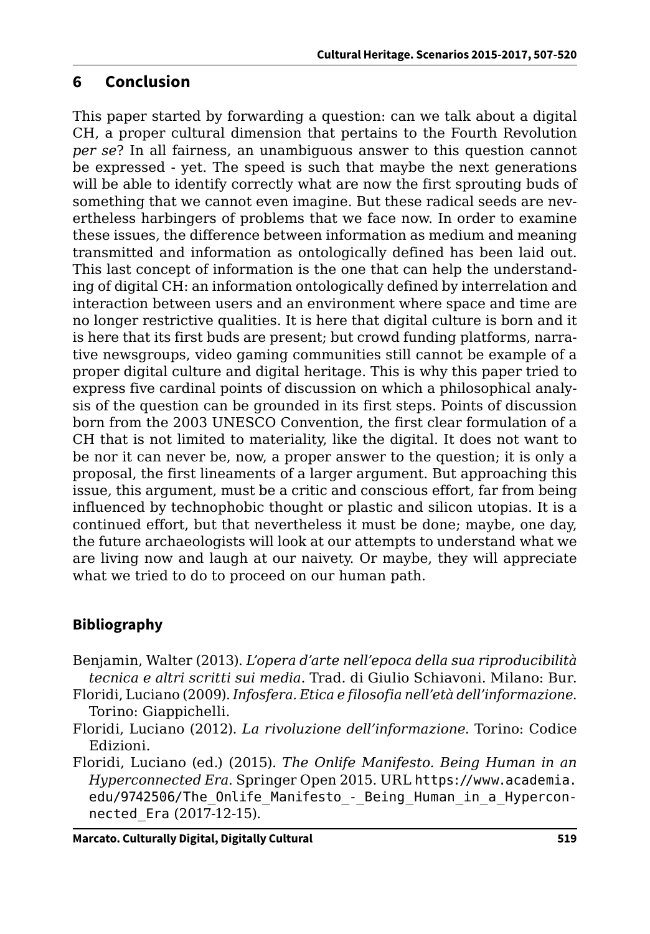#### **6 Conclusion**

This paper started by forwarding a question: can we talk about a digital CH, a proper cultural dimension that pertains to the Fourth Revolution *per se*? In all fairness, an unambiguous answer to this question cannot be expressed - yet. The speed is such that maybe the next generations will be able to identify correctly what are now the first sprouting buds of something that we cannot even imagine. But these radical seeds are nevertheless harbingers of problems that we face now. In order to examine these issues, the difference between information as medium and meaning transmitted and information as ontologically defined has been laid out. This last concept of information is the one that can help the understanding of digital CH: an information ontologically defined by interrelation and interaction between users and an environment where space and time are no longer restrictive qualities. It is here that digital culture is born and it is here that its first buds are present; but crowd funding platforms, narrative newsgroups, video gaming communities still cannot be example of a proper digital culture and digital heritage. This is why this paper tried to express five cardinal points of discussion on which a philosophical analysis of the question can be grounded in its first steps. Points of discussion born from the 2003 UNESCO Convention, the first clear formulation of a CH that is not limited to materiality, like the digital. It does not want to be nor it can never be, now, a proper answer to the question; it is only a proposal, the first lineaments of a larger argument. But approaching this issue, this argument, must be a critic and conscious effort, far from being influenced by technophobic thought or plastic and silicon utopias. It is a continued effort, but that nevertheless it must be done; maybe, one day, the future archaeologists will look at our attempts to understand what we are living now and laugh at our naivety. Or maybe, they will appreciate what we tried to do to proceed on our human path.

#### **Bibliography**

- Benjamin, Walter (2013). *L'opera d'arte nell'epoca della sua riproducibilità tecnica e altri scritti sui media*. Trad. di Giulio Schiavoni. Milano: Bur.
- Floridi, Luciano (2009). *Infosfera. Etica e filosofia nell'età dell'informazione*. Torino: Giappichelli.
- Floridi, Luciano (2012). *La rivoluzione dell'informazione*. Torino: Codice Edizioni.
- Floridi, Luciano (ed.) (2015). *The Onlife Manifesto. Being Human in an Hyperconnected Era*. Springer Open 2015. URL [https://www.academia.](https://www.academia.edu/9742506/The_Onlife_Manifesto_-_Being_Human_in_a_Hyperconnected_Era) edu/9742506/The Onlife Manifesto - Being Human in a Hypercon[nected\\_Era](https://www.academia.edu/9742506/The_Onlife_Manifesto_-_Being_Human_in_a_Hyperconnected_Era) (2017-12-15).